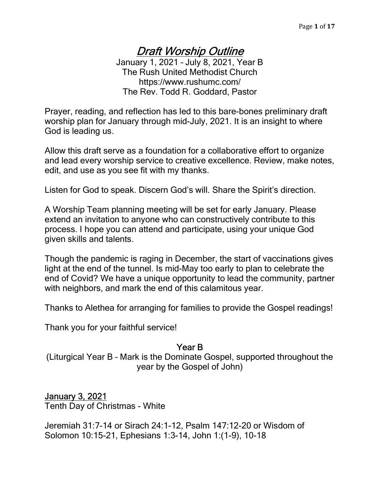# Draft Worship Outline

January 1, 2021 – July 8, 2021, Year B The Rush United Methodist Church https://www.rushumc.com/ The Rev. Todd R. Goddard, Pastor

Prayer, reading, and reflection has led to this bare-bones preliminary draft worship plan for January through mid-July, 2021. It is an insight to where God is leading us.

Allow this draft serve as a foundation for a collaborative effort to organize and lead every worship service to creative excellence. Review, make notes, edit, and use as you see fit with my thanks.

Listen for God to speak. Discern God's will. Share the Spirit's direction.

A Worship Team planning meeting will be set for early January. Please extend an invitation to anyone who can constructively contribute to this process. I hope you can attend and participate, using your unique God given skills and talents.

Though the pandemic is raging in December, the start of vaccinations gives light at the end of the tunnel. Is mid-May too early to plan to celebrate the end of Covid? We have a unique opportunity to lead the community, partner with neighbors, and mark the end of this calamitous year.

Thanks to Alethea for arranging for families to provide the Gospel readings!

Thank you for your faithful service!

#### Year B

(Liturgical Year B – Mark is the Dominate Gospel, supported throughout the year by the Gospel of John)

## January 3, 2021

Tenth Day of Christmas - White

Jeremiah 31:7-14 or Sirach 24:1-12, Psalm 147:12-20 or Wisdom of Solomon 10:15-21, Ephesians 1:3-14, John 1:(1-9), 10-18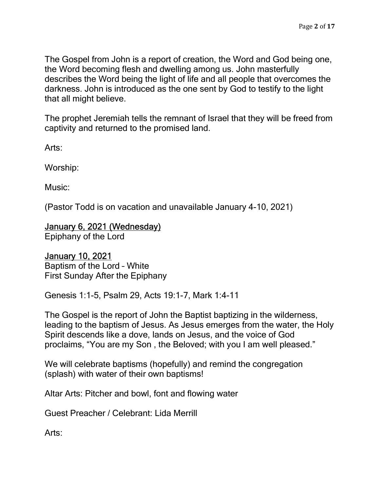The Gospel from John is a report of creation, the Word and God being one, the Word becoming flesh and dwelling among us. John masterfully describes the Word being the light of life and all people that overcomes the darkness. John is introduced as the one sent by God to testify to the light that all might believe.

The prophet Jeremiah tells the remnant of Israel that they will be freed from captivity and returned to the promised land.

Arts:

Worship:

Music:

(Pastor Todd is on vacation and unavailable January 4-10, 2021)

#### January 6, 2021 (Wednesday)

Epiphany of the Lord

#### January 10, 2021

Baptism of the Lord – White First Sunday After the Epiphany

Genesis 1:1-5, Psalm 29, Acts 19:1-7, Mark 1:4-11

The Gospel is the report of John the Baptist baptizing in the wilderness, leading to the baptism of Jesus. As Jesus emerges from the water, the Holy Spirit descends like a dove, lands on Jesus, and the voice of God proclaims, "You are my Son , the Beloved; with you I am well pleased."

We will celebrate baptisms (hopefully) and remind the congregation (splash) with water of their own baptisms!

Altar Arts: Pitcher and bowl, font and flowing water

Guest Preacher / Celebrant: Lida Merrill

Arts: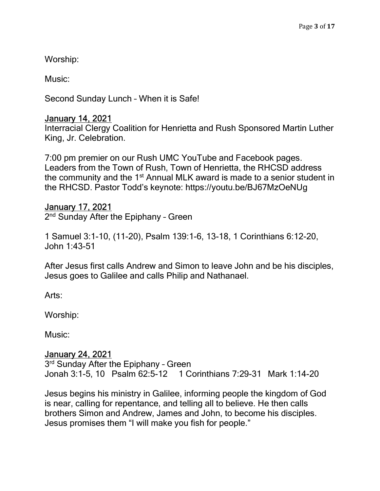Worship:

Music:

Second Sunday Lunch – When it is Safe!

### January 14, 2021

Interracial Clergy Coalition for Henrietta and Rush Sponsored Martin Luther King, Jr. Celebration.

7:00 pm premier on our Rush UMC YouTube and Facebook pages. Leaders from the Town of Rush, Town of Henrietta, the RHCSD address the community and the 1<sup>st</sup> Annual MLK award is made to a senior student in the RHCSD. Pastor Todd's keynote: https://youtu.be/BJ67MzOeNUg

### January 17, 2021

2<sup>nd</sup> Sunday After the Epiphany - Green

1 Samuel 3:1-10, (11-20), Psalm 139:1-6, 13-18, 1 Corinthians 6:12-20, John 1:43-51

After Jesus first calls Andrew and Simon to leave John and be his disciples, Jesus goes to Galilee and calls Philip and Nathanael.

Arts:

Worship:

Music:

### January 24, 2021

3<sup>rd</sup> Sunday After the Epiphany - Green Jonah 3:1-5, 10 Psalm 62:5-12 1 Corinthians 7:29-31 Mark 1:14-20

Jesus begins his ministry in Galilee, informing people the kingdom of God is near, calling for repentance, and telling all to believe. He then calls brothers Simon and Andrew, James and John, to become his disciples. Jesus promises them "I will make you fish for people."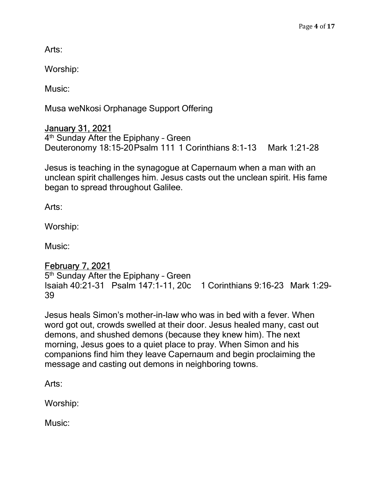Arts:

Worship:

Music:

Musa weNkosi Orphanage Support Offering

## January 31, 2021

4<sup>th</sup> Sunday After the Epiphany - Green Deuteronomy 18:15-20 Psalm 111 1 Corinthians 8:1-13 Mark 1:21-28

Jesus is teaching in the synagogue at Capernaum when a man with an unclean spirit challenges him. Jesus casts out the unclean spirit. His fame began to spread throughout Galilee.

Arts:

Worship:

Music:

## February 7, 2021

5<sup>th</sup> Sunday After the Epiphany - Green Isaiah 40:21-31 Psalm 147:1-11, 20c 1 Corinthians 9:16-23 Mark 1:29- 39

Jesus heals Simon's mother-in-law who was in bed with a fever. When word got out, crowds swelled at their door. Jesus healed many, cast out demons, and shushed demons (because they knew him). The next morning, Jesus goes to a quiet place to pray. When Simon and his companions find him they leave Capernaum and begin proclaiming the message and casting out demons in neighboring towns.

Arts:

Worship:

Music: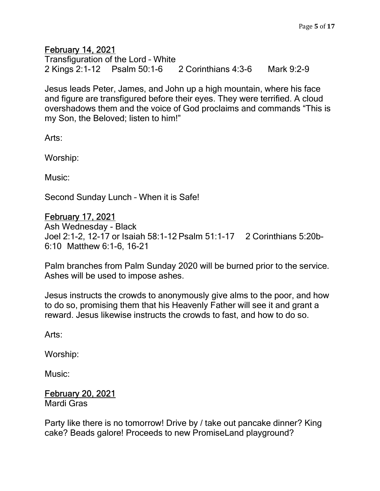### February 14, 2021

Transfiguration of the Lord – White 2 Kings 2:1-12 Psalm 50:1-6 2 Corinthians 4:3-6 Mark 9:2-9

Jesus leads Peter, James, and John up a high mountain, where his face and figure are transfigured before their eyes. They were terrified. A cloud overshadows them and the voice of God proclaims and commands "This is my Son, the Beloved; listen to him!"

Arts:

Worship:

Music:

Second Sunday Lunch – When it is Safe!

#### February 17, 2021

Ash Wednesday - Black Joel 2:1-2, 12-17 or Isaiah 58:1-12 Psalm 51:1-17 2 Corinthians 5:20b-6:10 Matthew 6:1-6, 16-21

Palm branches from Palm Sunday 2020 will be burned prior to the service. Ashes will be used to impose ashes.

Jesus instructs the crowds to anonymously give alms to the poor, and how to do so, promising them that his Heavenly Father will see it and grant a reward. Jesus likewise instructs the crowds to fast, and how to do so.

Arts:

Worship:

Music:

### February 20, 2021

Mardi Gras

Party like there is no tomorrow! Drive by / take out pancake dinner? King cake? Beads galore! Proceeds to new PromiseLand playground?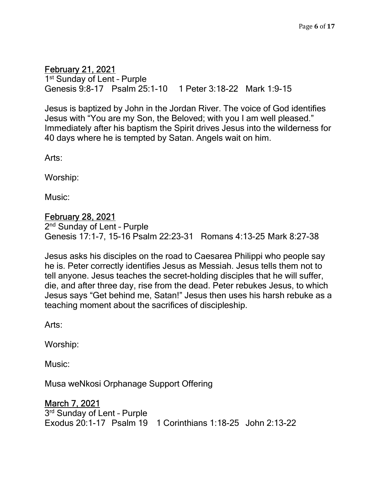# February 21, 2021

1 st Sunday of Lent – Purple Genesis 9:8-17 Psalm 25:1-10 1 Peter 3:18-22 Mark 1:9-15

Jesus is baptized by John in the Jordan River. The voice of God identifies Jesus with "You are my Son, the Beloved; with you I am well pleased." Immediately after his baptism the Spirit drives Jesus into the wilderness for 40 days where he is tempted by Satan. Angels wait on him.

Arts:

Worship:

Music:

#### February 28, 2021

2<sup>nd</sup> Sunday of Lent - Purple Genesis 17:1-7, 15-16 Psalm 22:23-31 Romans 4:13-25 Mark 8:27-38

Jesus asks his disciples on the road to Caesarea Philippi who people say he is. Peter correctly identifies Jesus as Messiah. Jesus tells them not to tell anyone. Jesus teaches the secret-holding disciples that he will suffer, die, and after three day, rise from the dead. Peter rebukes Jesus, to which Jesus says "Get behind me, Satan!" Jesus then uses his harsh rebuke as a teaching moment about the sacrifices of discipleship.

Arts:

Worship:

Music:

Musa weNkosi Orphanage Support Offering

### March 7, 2021

3 rd Sunday of Lent – Purple Exodus 20:1-17 Psalm 19 1 Corinthians 1:18-25 John 2:13-22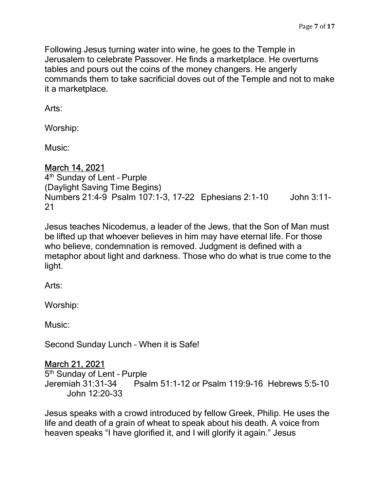Following Jesus turning water into wine, he goes to the Temple in Jerusalem to celebrate Passover. He finds a marketplace. He overturns tables and pours out the coins of the money changers. He angerly commands them to take sacrificial doves out of the Temple and not to make it a marketplace.

Arts:

Worship:

Music:

### March 14, 2021

4 th Sunday of Lent – Purple (Daylight Saving Time Begins) Numbers 21:4-9 Psalm 107:1-3, 17-22 Ephesians 2:1-10 John 3:11- 21

Jesus teaches Nicodemus, a leader of the Jews, that the Son of Man must be lifted up that whoever believes in him may have eternal life. For those who believe, condemnation is removed. Judgment is defined with a metaphor about light and darkness. Those who do what is true come to the light.

Arts:

Worship:

Music:

Second Sunday Lunch – When it is Safe!

### March 21, 2021

5<sup>th</sup> Sunday of Lent - Purple Jeremiah 31:31-34 Psalm 51:1-12 or Psalm 119:9-16 Hebrews 5:5-10 John 12:20-33

Jesus speaks with a crowd introduced by fellow Greek, Philip. He uses the life and death of a grain of wheat to speak about his death. A voice from heaven speaks "I have glorified it, and I will glorify it again." Jesus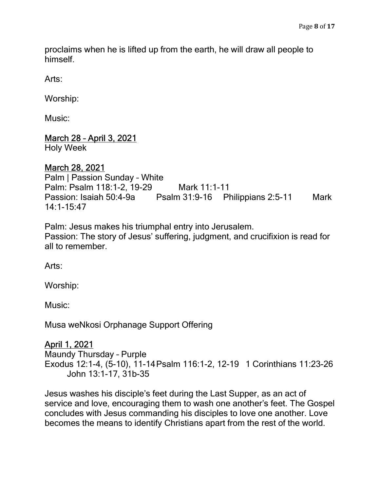proclaims when he is lifted up from the earth, he will draw all people to himself.

Arts:

Worship:

Music:

### March 28 – April 3, 2021

Holy Week

### March 28, 2021

Palm | Passion Sunday – White Palm: Psalm 118:1-2, 19-29 Mark 11:1-11 Passion: Isaiah 50:4-9a Psalm 31:9-16 Philippians 2:5-11 Mark 14:1-15:47

Palm: Jesus makes his triumphal entry into Jerusalem. Passion: The story of Jesus' suffering, judgment, and crucifixion is read for all to remember.

Arts:

Worship:

Music:

Musa weNkosi Orphanage Support Offering

## April 1, 2021

Maundy Thursday – Purple Exodus 12:1-4, (5-10), 11-14 Psalm 116:1-2, 12-19 1 Corinthians 11:23-26 John 13:1-17, 31b-35

Jesus washes his disciple's feet during the Last Supper, as an act of service and love, encouraging them to wash one another's feet. The Gospel concludes with Jesus commanding his disciples to love one another. Love becomes the means to identify Christians apart from the rest of the world.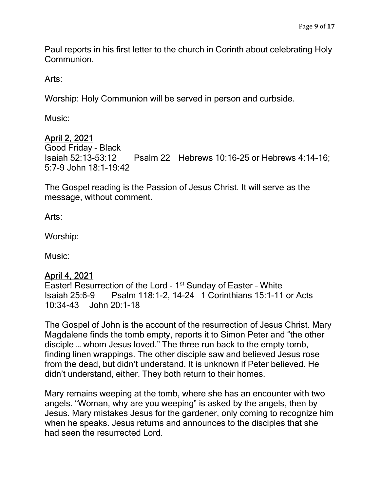Paul reports in his first letter to the church in Corinth about celebrating Holy Communion.

Arts:

Worship: Holy Communion will be served in person and curbside.

Music:

# April 2, 2021

Good Friday – Black Isaiah 52:13-53:12 Psalm 22 Hebrews 10:16-25 or Hebrews 4:14-16; 5:7-9 John 18:1-19:42

The Gospel reading is the Passion of Jesus Christ. It will serve as the message, without comment.

Arts:

Worship:

Music:

## April 4, 2021

Easter! Resurrection of the Lord - 1<sup>st</sup> Sunday of Easter - White Isaiah 25:6-9 Psalm 118:1-2, 14-24 1 Corinthians 15:1-11 or Acts 10:34-43 John 20:1-18

The Gospel of John is the account of the resurrection of Jesus Christ. Mary Magdalene finds the tomb empty, reports it to Simon Peter and "the other disciple … whom Jesus loved." The three run back to the empty tomb, finding linen wrappings. The other disciple saw and believed Jesus rose from the dead, but didn't understand. It is unknown if Peter believed. He didn't understand, either. They both return to their homes.

Mary remains weeping at the tomb, where she has an encounter with two angels. "Woman, why are you weeping" is asked by the angels, then by Jesus. Mary mistakes Jesus for the gardener, only coming to recognize him when he speaks. Jesus returns and announces to the disciples that she had seen the resurrected Lord.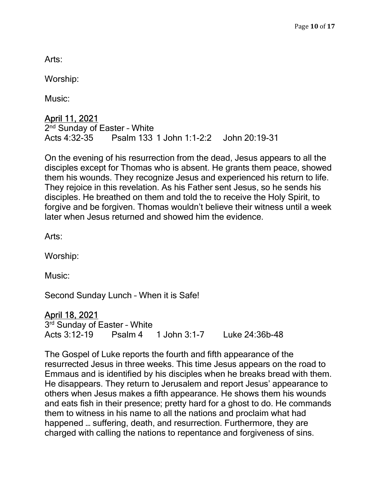Arts:

Worship:

Music:

## April 11, 2021

2<sup>nd</sup> Sunday of Easter - White Acts 4:32-35 Psalm 133 1 John 1:1-2:2 John 20:19-31

On the evening of his resurrection from the dead, Jesus appears to all the disciples except for Thomas who is absent. He grants them peace, showed them his wounds. They recognize Jesus and experienced his return to life. They rejoice in this revelation. As his Father sent Jesus, so he sends his disciples. He breathed on them and told the to receive the Holy Spirit, to forgive and be forgiven. Thomas wouldn't believe their witness until a week later when Jesus returned and showed him the evidence.

Arts:

Worship:

Music:

Second Sunday Lunch – When it is Safe!

### April 18, 2021

3<sup>rd</sup> Sunday of Easter - White Acts 3:12-19 Psalm 4 1 John 3:1-7 Luke 24:36b-48

The Gospel of Luke reports the fourth and fifth appearance of the resurrected Jesus in three weeks. This time Jesus appears on the road to Emmaus and is identified by his disciples when he breaks bread with them. He disappears. They return to Jerusalem and report Jesus' appearance to others when Jesus makes a fifth appearance. He shows them his wounds and eats fish in their presence; pretty hard for a ghost to do. He commands them to witness in his name to all the nations and proclaim what had happened … suffering, death, and resurrection. Furthermore, they are charged with calling the nations to repentance and forgiveness of sins.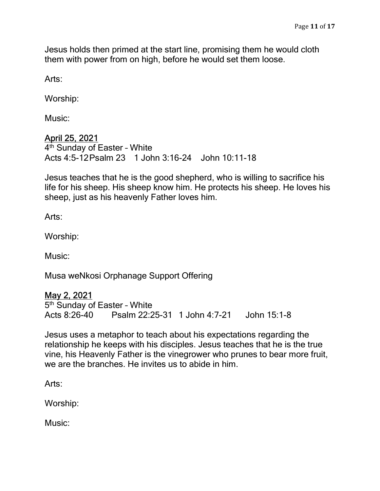Jesus holds then primed at the start line, promising them he would cloth them with power from on high, before he would set them loose.

Arts:

Worship:

Music:

### April 25, 2021

4 th Sunday of Easter – White Acts 4:5-12 Psalm 23 1 John 3:16-24 John 10:11-18

Jesus teaches that he is the good shepherd, who is willing to sacrifice his life for his sheep. His sheep know him. He protects his sheep. He loves his sheep, just as his heavenly Father loves him.

Arts:

Worship:

Music:

Musa weNkosi Orphanage Support Offering

### May 2, 2021

5<sup>th</sup> Sunday of Easter - White Acts 8:26-40 Psalm 22:25-31 1 John 4:7-21 John 15:1-8

Jesus uses a metaphor to teach about his expectations regarding the relationship he keeps with his disciples. Jesus teaches that he is the true vine, his Heavenly Father is the vinegrower who prunes to bear more fruit, we are the branches. He invites us to abide in him.

Arts:

Worship:

Music: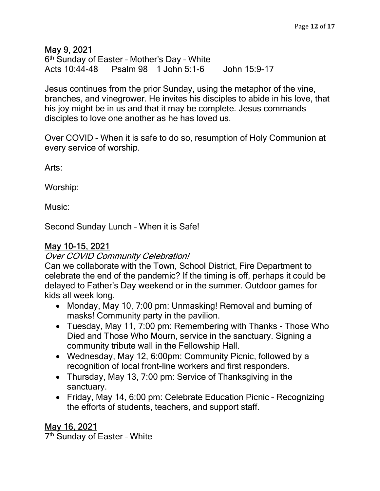### May 9, 2021

6<sup>th</sup> Sunday of Easter - Mother's Day - White Acts 10:44-48 Psalm 98 1 John 5:1-6 John 15:9-17

Jesus continues from the prior Sunday, using the metaphor of the vine, branches, and vinegrower. He invites his disciples to abide in his love, that his joy might be in us and that it may be complete. Jesus commands disciples to love one another as he has loved us.

Over COVID – When it is safe to do so, resumption of Holy Communion at every service of worship.

Arts:

Worship:

Music:

Second Sunday Lunch – When it is Safe!

## May 10-15, 2021

Over COVID Community Celebration!

Can we collaborate with the Town, School District, Fire Department to celebrate the end of the pandemic? If the timing is off, perhaps it could be delayed to Father's Day weekend or in the summer. Outdoor games for kids all week long.

- Monday, May 10, 7:00 pm: Unmasking! Removal and burning of masks! Community party in the pavilion.
- Tuesday, May 11, 7:00 pm: Remembering with Thanks Those Who Died and Those Who Mourn, service in the sanctuary. Signing a community tribute wall in the Fellowship Hall.
- Wednesday, May 12, 6:00pm: Community Picnic, followed by a recognition of local front-line workers and first responders.
- Thursday, May 13, 7:00 pm: Service of Thanksgiving in the sanctuary.
- Friday, May 14, 6:00 pm: Celebrate Education Picnic Recognizing the efforts of students, teachers, and support staff.

# May 16, 2021

7 th Sunday of Easter – White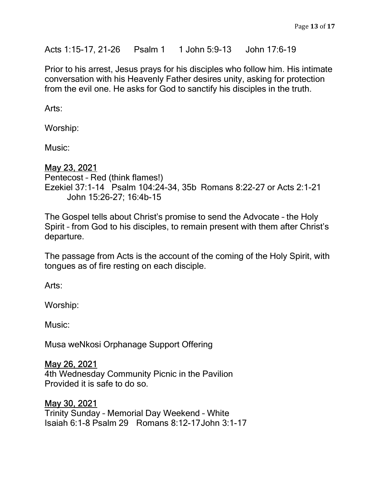Acts 1:15-17, 21-26 Psalm 1 1 John 5:9-13 John 17:6-19

Prior to his arrest, Jesus prays for his disciples who follow him. His intimate conversation with his Heavenly Father desires unity, asking for protection from the evil one. He asks for God to sanctify his disciples in the truth.

Arts:

Worship:

Music:

#### May 23, 2021

Pentecost – Red (think flames!) Ezekiel 37:1-14 Psalm 104:24-34, 35b Romans 8:22-27 or Acts 2:1-21 John 15:26-27; 16:4b-15

The Gospel tells about Christ's promise to send the Advocate – the Holy Spirit – from God to his disciples, to remain present with them after Christ's departure.

The passage from Acts is the account of the coming of the Holy Spirit, with tongues as of fire resting on each disciple.

Arts:

Worship:

Music:

Musa weNkosi Orphanage Support Offering

### May 26, 2021

4th Wednesday Community Picnic in the Pavilion Provided it is safe to do so.

### May 30, 2021

Trinity Sunday – Memorial Day Weekend – White Isaiah 6:1-8 Psalm 29 Romans 8:12-17 John 3:1-17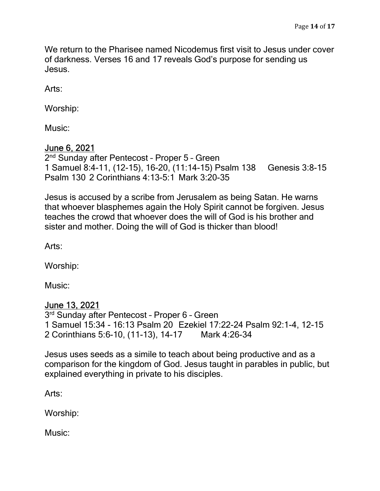We return to the Pharisee named Nicodemus first visit to Jesus under cover of darkness. Verses 16 and 17 reveals God's purpose for sending us Jesus.

Arts:

Worship:

Music:

### June 6, 2021

2<sup>nd</sup> Sunday after Pentecost - Proper 5 - Green 1 Samuel 8:4-11, (12-15), 16-20, (11:14-15) Psalm 138 Genesis 3:8-15 Psalm 130 2 Corinthians 4:13-5:1 Mark 3:20-35

Jesus is accused by a scribe from Jerusalem as being Satan. He warns that whoever blasphemes again the Holy Spirit cannot be forgiven. Jesus teaches the crowd that whoever does the will of God is his brother and sister and mother. Doing the will of God is thicker than blood!

Arts:

Worship:

Music:

#### June 13, 2021

3 rd Sunday after Pentecost – Proper 6 – Green 1 Samuel 15:34 - 16:13 Psalm 20 Ezekiel 17:22-24 Psalm 92:1-4, 12-15 2 Corinthians 5:6-10, (11-13), 14-17 Mark 4:26-34

Jesus uses seeds as a simile to teach about being productive and as a comparison for the kingdom of God. Jesus taught in parables in public, but explained everything in private to his disciples.

Arts:

Worship:

Music: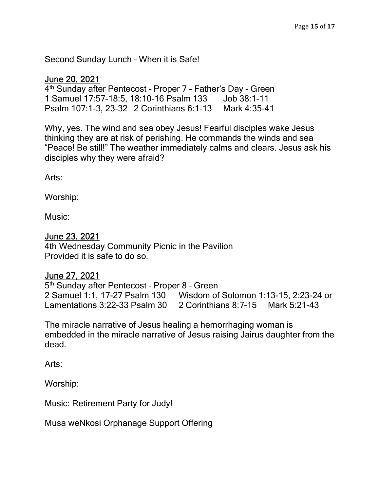Second Sunday Lunch – When it is Safe!

### June 20, 2021

4<sup>th</sup> Sunday after Pentecost - Proper 7 - Father's Day - Green 1 Samuel 17:57-18:5, 18:10-16 Psalm 133 Job 38:1-11 Psalm 107:1-3, 23-32 2 Corinthians 6:1-13 Mark 4:35-41

Why, yes. The wind and sea obey Jesus! Fearful disciples wake Jesus thinking they are at risk of perishing. He commands the winds and sea "Peace! Be still!" The weather immediately calms and clears. Jesus ask his disciples why they were afraid?

Arts:

Worship:

Music:

#### June 23, 2021

4th Wednesday Community Picnic in the Pavilion Provided it is safe to do so.

#### June 27, 2021

5<sup>th</sup> Sunday after Pentecost - Proper 8 - Green 2 Samuel 1:1, 17-27 Psalm 130 Wisdom of Solomon 1:13-15, 2:23-24 or Lamentations 3:22-33 Psalm 30 2 Corinthians 8:7-15 Mark 5:21-43

The miracle narrative of Jesus healing a hemorrhaging woman is embedded in the miracle narrative of Jesus raising Jairus daughter from the dead.

Arts:

Worship:

Music: Retirement Party for Judy!

Musa weNkosi Orphanage Support Offering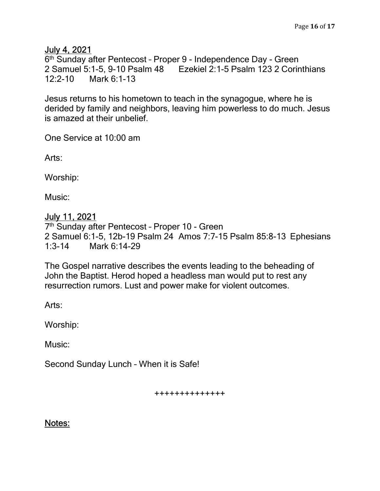### July 4, 2021

6 th Sunday after Pentecost – Proper 9 - Independence Day - Green 2 Samuel 5:1-5, 9-10 Psalm 48 Ezekiel 2:1-5 Psalm 123 2 Corinthians 12:2-10 Mark 6:1-13

Jesus returns to his hometown to teach in the synagogue, where he is derided by family and neighbors, leaving him powerless to do much. Jesus is amazed at their unbelief.

One Service at 10:00 am

Arts:

Worship:

Music:

## July 11, 2021

7<sup>th</sup> Sunday after Pentecost - Proper 10 - Green 2 Samuel 6:1-5, 12b-19 Psalm 24 Amos 7:7-15 Psalm 85:8-13 Ephesians 1:3-14 Mark 6:14-29

The Gospel narrative describes the events leading to the beheading of John the Baptist. Herod hoped a headless man would put to rest any resurrection rumors. Lust and power make for violent outcomes.

Arts:

Worship:

Music:

Second Sunday Lunch – When it is Safe!

++++++++++++++

Notes: